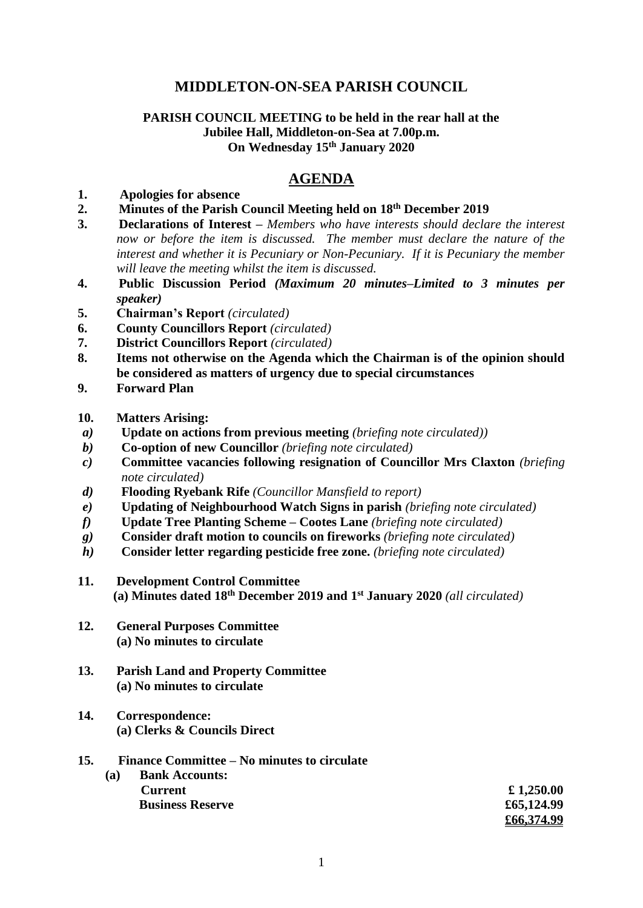# **MIDDLETON-ON-SEA PARISH COUNCIL**

### **PARISH COUNCIL MEETING to be held in the rear hall at the Jubilee Hall, Middleton-on-Sea at 7.00p.m. On Wednesday 15th January 2020**

# **AGENDA**

#### **1. Apologies for absence**

- **2. Minutes of the Parish Council Meeting held on 18th December 2019**
- **3. Declarations of Interest –** *Members who have interests should declare the interest now or before the item is discussed. The member must declare the nature of the interest and whether it is Pecuniary or Non-Pecuniary. If it is Pecuniary the member will leave the meeting whilst the item is discussed.*
- **4. Public Discussion Period** *(Maximum 20 minutes–Limited to 3 minutes per speaker)*
- **5. Chairman's Report** *(circulated)*
- **6. County Councillors Report** *(circulated)*
- **7. District Councillors Report** *(circulated)*
- **8. Items not otherwise on the Agenda which the Chairman is of the opinion should be considered as matters of urgency due to special circumstances**
- **9. Forward Plan**
- **10. Matters Arising:**
- *a)* **Update on actions from previous meeting** *(briefing note circulated))*
- *b)* **Co-option of new Councillor** *(briefing note circulated)*
- *c)* **Committee vacancies following resignation of Councillor Mrs Claxton** *(briefing note circulated)*
- *d)* **Flooding Ryebank Rife** *(Councillor Mansfield to report)*
- *e)* **Updating of Neighbourhood Watch Signs in parish** *(briefing note circulated)*
- *f)* **Update Tree Planting Scheme – Cootes Lane** *(briefing note circulated)*
- *g)* **Consider draft motion to councils on fireworks** *(briefing note circulated)*
- *h)* **Consider letter regarding pesticide free zone.** *(briefing note circulated)*
- **11. Development Control Committee (a) Minutes dated 18th December 2019 and 1st January 2020** *(all circulated)*
- **12. General Purposes Committee (a) No minutes to circulate**
- **13. Parish Land and Property Committee (a) No minutes to circulate**
- **14. Correspondence: (a) Clerks & Councils Direct**

### **15. Finance Committee – No minutes to circulate**

**(a) Bank Accounts: Current £ 1,250.00 Business Reserve 265,124.99 £66,374.99**